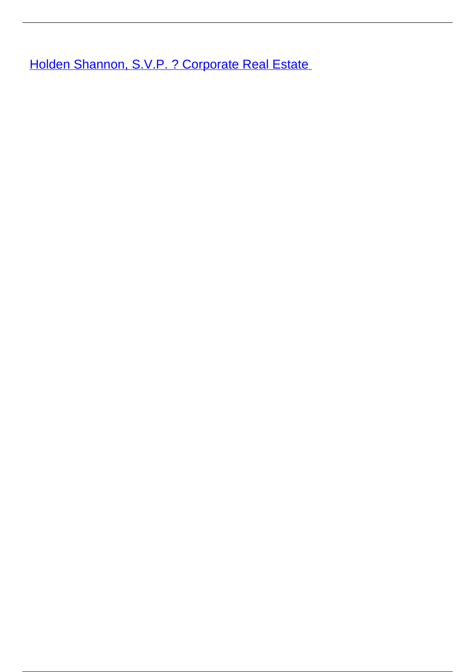**[Holden Shannon, S.V.P. ? Corporate Real Estate](/leader-bio-holden-shannon-svp-corporate-real-estate)**